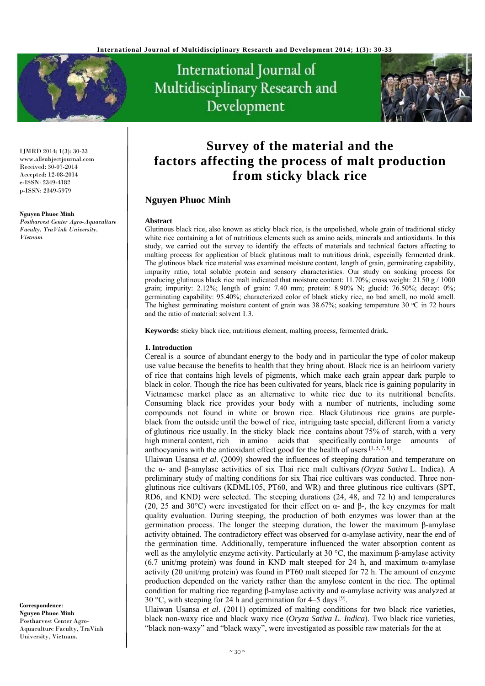

International Journal of Multidisciplinary Research and Development



IJMRD 2014; 1(3): 30-33 www.allsubjectjournal.com Received: 30-07-2014 Accepted: 12-08-2014 e-ISSN: 2349-4182 p-ISSN: 2349-5979

#### **Nguyen Phuoc Minh**

*Postharvest Center Agro-Aquaculture Faculty, TraVinh University, Vietnam* 

**Survey of the material and the factors affecting the process of malt production from sticky black rice** 

# **Nguyen Phuoc Minh**

#### **Abstract**

Glutinous black rice, also known as sticky black rice, is the unpolished, whole grain of traditional sticky white rice containing a lot of nutritious elements such as amino acids, minerals and antioxidants. In this study, we carried out the survey to identify the effects of materials and technical factors affecting to malting process for application of black glutinous malt to nutritious drink, especially fermented drink. The glutinous black rice material was examined moisture content, length of grain, germinating capability, impurity ratio, total soluble protein and sensory characteristics. Our study on soaking process for producing glutinous black rice malt indicated that moisture content: 11.70%; cross weight: 21.50 g / 1000 grain; impurity: 2.12%; length of grain: 7.40 mm; protein: 8.90% N; glucid: 76.50%; decay: 0%; germinating capability: 95.40%; characterized color of black sticky rice, no bad smell, no mold smell. The highest germinating moisture content of grain was  $38.67\%$ ; soaking temperature 30 °C in 72 hours and the ratio of material: solvent 1:3.

**Keywords:** sticky black rice, nutritious element, malting process, fermented drink*.*

### **1. Introduction**

Cereal is a source of abundant energy to the body and in particular the type of color makeup use value because the benefits to health that they bring about. Black rice is an heirloom variety of rice that contains high levels of pigments, which make each grain appear dark purple to black in color. Though the rice has been cultivated for years, black rice is gaining popularity in Vietnamese market place as an alternative to white rice due to its nutritional benefits. Consuming black rice provides your body with a number of nutrients, including some compounds not found in white or brown rice. Black Glutinous rice grains are purpleblack from the outside until the bowel of rice, intriguing taste special, different from a variety of glutinous rice usually. In the sticky black rice contains about 75% of starch, with a very high mineral content, rich in amino acids that specifically contain large amounts of anthocyanins with the antioxidant effect good for the health of users  $[1, 5, 7, 8]$ .

Ulaiwan Usansa *et al*. (2009) showed the influences of steeping duration and temperature on the α- and β-amylase activities of six Thai rice malt cultivars *(Oryza Sativa* L. Indica). A preliminary study of malting conditions for six Thai rice cultivars was conducted. Three nonglutinous rice cultivars (KDML105, PT60, and WR) and three glutinous rice cultivars (SPT, RD6, and KND) were selected. The steeping durations (24, 48, and 72 h) and temperatures (20, 25 and 30°C) were investigated for their effect on  $\alpha$ - and  $\beta$ -, the key enzymes for malt quality evaluation. During steeping, the production of both enzymes was lower than at the germination process. The longer the steeping duration, the lower the maximum β-amylase activity obtained. The contradictory effect was observed for  $\alpha$ -amylase activity, near the end of the germination time. Additionally, temperature influenced the water absorption content as well as the amylolytic enzyme activity. Particularly at 30 °C, the maximum β-amylase activity (6.7 unit/mg protein) was found in KND malt steeped for 24 h, and maximum α-amylase activity (20 unit/mg protein) was found in PT60 malt steeped for 72 h. The amount of enzyme production depended on the variety rather than the amylose content in the rice. The optimal condition for malting rice regarding β-amylase activity and  $α$ -amylase activity was analyzed at 30 °C, with steeping for 24 h and germination for 4–5 days  $[9]$ .

Ulaiwan Usansa *et al*. (2011) optimized of malting conditions for two black rice varieties, black non-waxy rice and black waxy rice (*Oryza Sativa L. Indica*). Two black rice varieties, "black non-waxy" and "black waxy", were investigated as possible raw materials for the at

**Correspondence**: **Nguyen Phuoc Minh** Postharvest Center Agro-Aquaculture Faculty, TraVinh University, Vietnam.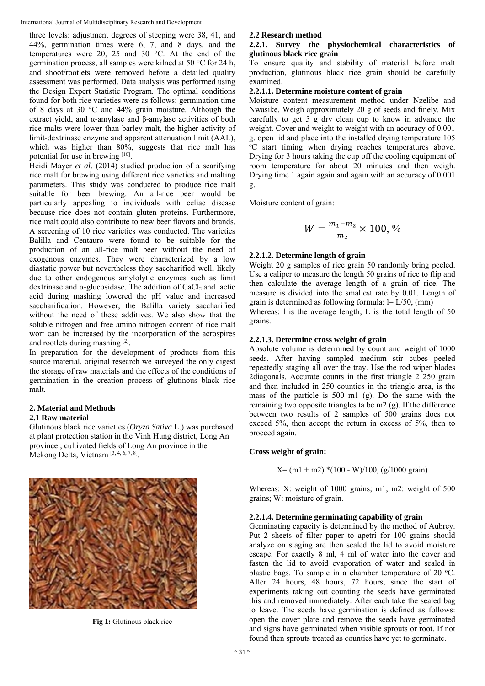International Journal of Multidisciplinary Research and Development

three levels: adjustment degrees of steeping were 38, 41, and 44%, germination times were 6, 7, and 8 days, and the temperatures were 20, 25 and 30 °C. At the end of the germination process, all samples were kilned at 50 °C for 24 h, and shoot/rootlets were removed before a detailed quality assessment was performed. Data analysis was performed using the Design Expert Statistic Program. The optimal conditions found for both rice varieties were as follows: germination time of 8 days at 30 °C and 44% grain moisture. Although the extract yield, and α-amylase and β-amylase activities of both rice malts were lower than barley malt, the higher activity of limit-dextrinase enzyme and apparent attenuation limit (AAL), which was higher than 80%, suggests that rice malt has potential for use in brewing [10].

Heidi Mayer *et al*. (2014) studied production of a scarifying rice malt for brewing using different rice varieties and malting parameters. This study was conducted to produce rice malt suitable for beer brewing. An all-rice beer would be particularly appealing to individuals with celiac disease because rice does not contain gluten proteins. Furthermore, rice malt could also contribute to new beer flavors and brands. A screening of 10 rice varieties was conducted. The varieties Balilla and Centauro were found to be suitable for the production of an all-rice malt beer without the need of exogenous enzymes. They were characterized by a low diastatic power but nevertheless they saccharified well, likely due to other endogenous amylolytic enzymes such as limit dextrinase and  $\alpha$ -glucosidase. The addition of CaCl<sub>2</sub> and lactic acid during mashing lowered the pH value and increased saccharification. However, the Balilla variety saccharified without the need of these additives. We also show that the soluble nitrogen and free amino nitrogen content of rice malt wort can be increased by the incorporation of the acrospires and rootlets during mashing [2].

In preparation for the development of products from this source material, original research we surveyed the only digest the storage of raw materials and the effects of the conditions of germination in the creation process of glutinous black rice malt.

### **2. Material and Methods 2.1 Raw material**

Glutinous black rice varieties (*Oryza Sativa* L.) was purchased at plant protection station in the Vinh Hung district, Long An province ; cultivated fields of Long An province in the Mekong Delta, Vietnam [3, 4, 6, 7, 8].



**Fig 1:** Glutinous black rice

# **2.2 Research method**

## **2.2.1. Survey the physiochemical characteristics of glutinous black rice grain**

To ensure quality and stability of material before malt production, glutinous black rice grain should be carefully examined.

# **2.2.1.1. Determine moisture content of grain**

Moisture content measurement method under Nzelibe and Nwasike. Weigh approximately 20 g of seeds and finely. Mix carefully to get 5 g dry clean cup to know in advance the weight. Cover and weight to weight with an accuracy of  $0.001$ g. open lid and place into the installed drying temperature 105 <sup>o</sup>C start timing when drying reaches temperatures above. Drying for 3 hours taking the cup off the cooling equipment of room temperature for about 20 minutes and then weigh. Drying time 1 again again and again with an accuracy of 0.001 g.

Moisture content of grain:

$$
W = \frac{m_1 - m_2}{m_2} \times 100, \, \%
$$

# **2.2.1.2. Determine length of grain**

Weight 20 g samples of rice grain 50 randomly bring peeled. Use a caliper to measure the length 50 grains of rice to flip and then calculate the average length of a grain of rice. The measure is divided into the smallest rate by 0.01. Length of grain is determined as following formula:  $I = L/50$ , (mm)

Whereas: 1 is the average length; L is the total length of 50 grains.

# **2.2.1.3. Determine cross weight of grain**

Absolute volume is determined by count and weight of 1000 seeds. After having sampled medium stir cubes peeled repeatedly staging all over the tray. Use the rod wiper blades 2diagonals. Accurate counts in the first triangle 2 250 grain and then included in 250 counties in the triangle area, is the mass of the particle is 500 m1 (g). Do the same with the remaining two opposite triangles ta be m2 (g). If the difference between two results of 2 samples of 500 grains does not exceed 5%, then accept the return in excess of 5%, then to proceed again.

## **Cross weight of grain:**

 $X=(m1 + m2) * (100 - W)/100$ , (g/1000 grain)

Whereas: X: weight of 1000 grains; m1, m2: weight of 500 grains; W: moisture of grain.

## **2.2.1.4. Determine germinating capability of grain**

Germinating capacity is determined by the method of Aubrey. Put 2 sheets of filter paper to apetri for 100 grains should analyze on staging are then sealed the lid to avoid moisture escape. For exactly 8 ml, 4 ml of water into the cover and fasten the lid to avoid evaporation of water and sealed in plastic bags. To sample in a chamber temperature of 20  $^{\circ}$ C. After 24 hours, 48 hours, 72 hours, since the start of experiments taking out counting the seeds have germinated this and removed immediately. After each take the sealed bag to leave. The seeds have germination is defined as follows: open the cover plate and remove the seeds have germinated and signs have germinated when visible sprouts or root. If not found then sprouts treated as counties have yet to germinate.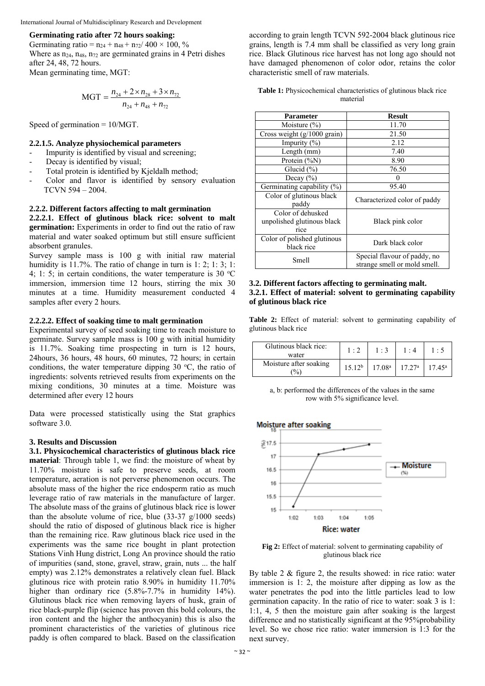#### International Journal of Multidisciplinary Research and Development

### **Germinating ratio after 72 hours soaking:**

Germinating ratio =  $n_{24} + n_{48} + n_{72}/400 \times 100$ , % Where as  $n_{24}$ ,  $n_{48}$ ,  $n_{72}$  are germinated grains in 4 Petri dishes after 24, 48, 72 hours. Mean germinating time, MGT:

$$
MGT = \frac{n_{24} + 2 \times n_{28} + 3 \times n_{72}}{n_{24} + n_{48} + n_{72}}
$$

Speed of germination = 10/MGT.

#### **2.2.1.5. Analyze physiochemical parameters**

- Impurity is identified by visual and screening;
- Decay is identified by visual;
- Total protein is identified by Kjeldalh method;
- Color and flavor is identified by sensory evaluation TCVN 594 – 2004.

# **2.2.2. Different factors affecting to malt germination**

**2.2.2.1. Effect of glutinous black rice: solvent to malt germination:** Experiments in order to find out the ratio of raw material and water soaked optimum but still ensure sufficient absorbent granules.

Survey sample mass is 100 g with initial raw material humidity is 11.7%. The ratio of change in turn is 1: 2; 1: 3; 1: 4; 1: 5; in certain conditions, the water temperature is 30  $^{\circ}$ C immersion, immersion time 12 hours, stirring the mix 30 minutes at a time. Humidity measurement conducted 4 samples after every 2 hours.

## **2.2.2.2. Effect of soaking time to malt germination**

Experimental survey of seed soaking time to reach moisture to germinate. Survey sample mass is 100 g with initial humidity is 11.7%. Soaking time prospecting in turn is 12 hours, 24hours, 36 hours, 48 hours, 60 minutes, 72 hours; in certain conditions, the water temperature dipping  $30^{\circ}$ C, the ratio of ingredients: solvents retrieved results from experiments on the mixing conditions, 30 minutes at a time. Moisture was determined after every 12 hours

Data were processed statistically using the Stat graphics software 3.0.

### **3. Results and Discussion**

**3.1. Physicochemical characteristics of glutinous black rice material**: Through table 1, we find: the moisture of wheat by 11.70% moisture is safe to preserve seeds, at room temperature, aeration is not perverse phenomenon occurs. The absolute mass of the higher the rice endosperm ratio as much leverage ratio of raw materials in the manufacture of larger. The absolute mass of the grains of glutinous black rice is lower than the absolute volume of rice, blue (33-37 g/1000 seeds) should the ratio of disposed of glutinous black rice is higher than the remaining rice. Raw glutinous black rice used in the experiments was the same rice bought in plant protection Stations Vinh Hung district, Long An province should the ratio of impurities (sand, stone, gravel, straw, grain, nuts ... the half empty) was 2.12% demonstrates a relatively clean fuel. Black glutinous rice with protein ratio 8.90% in humidity 11.70% higher than ordinary rice (5.8%-7.7% in humidity 14%). Glutinous black rice when removing layers of husk, grain of rice black-purple flip (science has proven this bold colours, the iron content and the higher the anthocyanin) this is also the prominent characteristics of the varieties of glutinous rice paddy is often compared to black. Based on the classification

according to grain length TCVN 592-2004 black glutinous rice grains, length is 7.4 mm shall be classified as very long grain rice. Black Glutinous rice harvest has not long ago should not have damaged phenomenon of color odor, retains the color characteristic smell of raw materials.

**Table 1:** Physicochemical characteristics of glutinous black rice material

| Parameter                                               | <b>Result</b>                                                |  |  |  |
|---------------------------------------------------------|--------------------------------------------------------------|--|--|--|
| Moisture $(\% )$                                        | 11.70                                                        |  |  |  |
| Cross weight $(g/1000 \text{ grain})$                   | 21.50                                                        |  |  |  |
| Impurity $(\% )$                                        | 2.12                                                         |  |  |  |
| Length (mm)                                             | 7.40                                                         |  |  |  |
| Protein (%N)                                            | 8.90                                                         |  |  |  |
| Glucid $(\% )$                                          | 76.50                                                        |  |  |  |
| Decay $(\% )$                                           |                                                              |  |  |  |
| Germinating capability (%)                              | 95.40                                                        |  |  |  |
| Color of glutinous black<br>paddy                       | Characterized color of paddy                                 |  |  |  |
| Color of dehusked<br>unpolished glutinous black<br>rice | Black pink color                                             |  |  |  |
| Color of polished glutinous<br>black rice               | Dark black color                                             |  |  |  |
| Smell                                                   | Special flavour of paddy, no<br>strange smell or mold smell. |  |  |  |

### **3.2. Different factors affecting to germinating malt. 3.2.1. Effect of material: solvent to germinating capability of glutinous black rice**

**Table 2:** Effect of material: solvent to germinating capability of glutinous black rice

| Glutinous black rice:<br>water            | 1:2                | 1:3                          | $1 \cdot 4$ | $\cdot$ 5          |
|-------------------------------------------|--------------------|------------------------------|-------------|--------------------|
| Moisture after soaking<br>$\frac{1}{2}$ . | 15.12 <sup>b</sup> | $17.08^a$ 17.27 <sup>a</sup> |             | 17.45 <sup>a</sup> |

a, b: performed the differences of the values in the same row with 5% significance level.



**Fig 2:** Effect of material: solvent to germinating capability of glutinous black rice

By table 2 & figure 2, the results showed: in rice ratio: water immersion is 1: 2, the moisture after dipping as low as the water penetrates the pod into the little particles lead to low germination capacity. In the ratio of rice to water: soak 3 is 1: 1:1, 4, 5 then the moisture gain after soaking is the largest difference and no statistically significant at the 95% probability level. So we chose rice ratio: water immersion is 1:3 for the next survey.